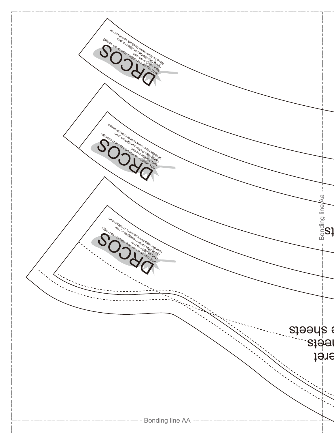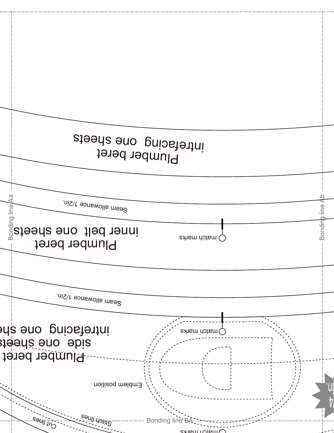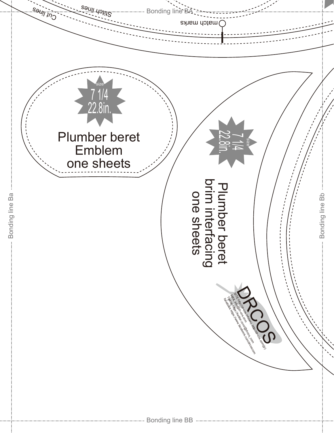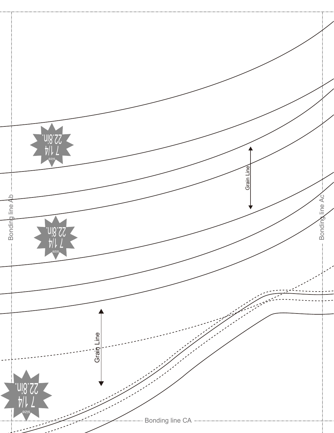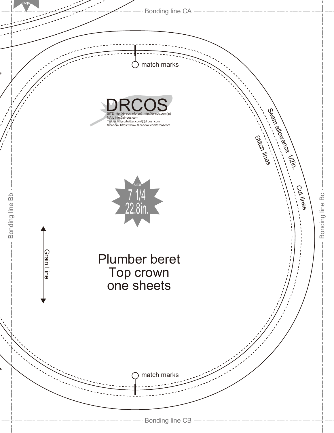